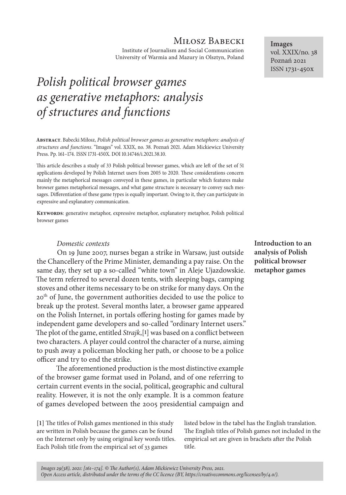## Miłosz Babecki

Institute of Journalism and Social Communication University of Warmia and Mazury in Olsztyn, Poland

# *Polish political browser games as generative metaphors: analysis of structures and functions*

**Abstract**. Babecki Miłosz, *Polish political browser games as generative metaphors: analysis of structures and functions*. "Images" vol. XXIX, no. 38. Poznań 2021. Adam Mickiewicz University Press. Pp. 161–174. ISSN 1731-450X. DOI 10.14746/i.2021.38.10.

This article describes a study of 33 Polish political browser games, which are left of the set of 51 applications developed by Polish Internet users from 2005 to 2020. These considerations concern mainly the metaphorical messages conveyed in these games, in particular which features make browser games metaphorical messages, and what game structure is necessary to convey such messages. Differentiation of these game types is equally important. Owing to it, they can participate in expressive and explanatory communication.

**Keywords**: generative metaphor, expressive metaphor, explanatory metaphor, Polish political browser games

#### *Domestic contexts*

On 19 June 2007, nurses began a strike in Warsaw, just outside the Chancellery of the Prime Minister, demanding a pay raise. On the same day, they set up a so-called "white town" in Aleje Ujazdowskie. The term referred to several dozen tents, with sleeping bags, camping stoves and other items necessary to be on strike for many days. On the 20<sup>th</sup> of June, the government authorities decided to use the police to break up the protest. Several months later, a browser game appeared on the Polish Internet, in portals offering hosting for games made by independent game developers and so-called "ordinary Internet users." The plot of the game, entitled *Strajk*,[**1**] was based on a conflict between two characters. A player could control the character of a nurse, aiming to push away a policeman blocking her path, or choose to be a police officer and try to end the strike.

The aforementioned production is the most distinctive example of the browser game format used in Poland, and of one referring to certain current events in the social, political, geographic and cultural reality. However, it is not the only example. It is a common feature of games developed between the 2005 presidential campaign and

**[1]** The titles of Polish games mentioned in this study are written in Polish because the games can be found on the Internet only by using original key words titles. Each Polish title from the empirical set of 33 games

listed below in the tabel has the English translation. The English titles of Polish games not included in the empirical set are given in brackets after the Polish title.

**Introduction to an analysis of Polish political browser metaphor games**

**Images** vol. XXIX/no. 38 Poznań 2021 ISSN 1731-450x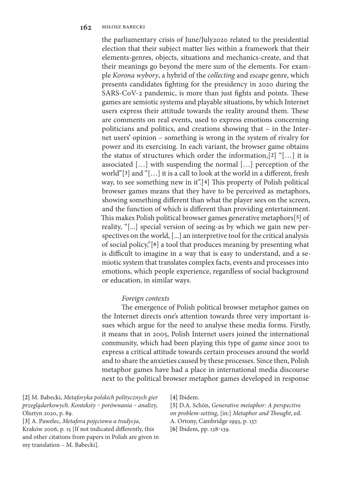the parliamentary crisis of June/July2020 related to the presidential election that their subject matter lies within a framework that their elements-genres, objects, situations and mechanics-create, and that their meanings go beyond the mere sum of the elements. For example *Korona wybory*, a hybrid of the *collecting* and *escape* genre, which presents candidates fighting for the presidency in 2020 during the SARS-CoV-2 pandemic, is more than just fights and points. These games are semiotic systems and playable situations, by which Internet users express their attitude towards the reality around them. These are comments on real events, used to express emotions concerning politicians and politics, and creations showing that – in the Internet users' opinion – something is wrong in the system of rivalry for power and its exercising. In each variant, the browser game obtains the status of structures which order the information,[**2**] "[…] it is associated […] with suspending the normal […] perception of the world"[**3**] and "[…] it is a call to look at the world in a different, fresh way, to see something new in it".[**4**] This property of Polish political browser games means that they have to be perceived as metaphors, showing something different than what the player sees on the screen, and the function of which is different than providing entertainment. This makes Polish political browser games generative metaphors[**5**] of reality, "[...] special version of seeing-as by which we gain new perspectives on the world, [...] an interpretive tool for the critical analysis of social policy,"[**6**] a tool that produces meaning by presenting what is difficult to imagine in a way that is easy to understand, and a semiotic system that translates complex facts, events and processes into emotions, which people experience, regardless of social background or education, in similar ways.

#### *Foreign contexts*

The emergence of Polish political browser metaphor games on the Internet directs one's attention towards three very important issues which argue for the need to analyse these media forms. Firstly, it means that in 2005, Polish Internet users joined the international community, which had been playing this type of game since 2001 to express a critical attitude towards certain processes around the world and to share the anxieties caused by these processes. Since then, Polish metaphor games have had a place in international media discourse next to the political browser metaphor games developed in response

**[2]** M. Babecki, *Metaforyka polskich politycznych gier przeglądarkowych. Konteksty ‒ porównania ‒ analiz*y, Olsztyn 2020, p. 89.

**[3]** A. Pawelec, *Metafora pojęciowa a tradycja*, Kraków 2006, p. 15 [If not indicated differently, this and other citations from papers in Polish are given in my translation – M. Babecki].

**[4]** Ibidem.

**[5]** D.A. Schön, *Generative metaphor: A perspective on problem-setting*, [in:] *Metaphor and Thought*, ed. A. Ortony, Cambridge 1993, p. 137.

**[6]** Ibidem, pp. 138‒139.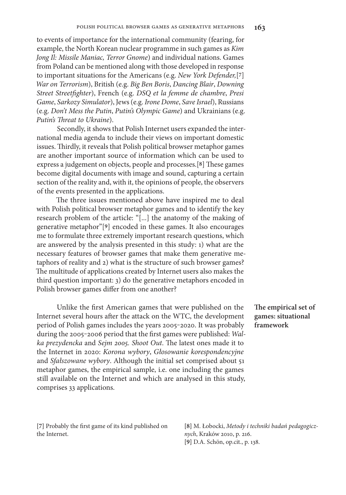to events of importance for the international community (fearing, for example, the North Korean nuclear programme in such games as *Kim Jong Il: Missile Maniac, Terror Gnome*) and individual nations. Games from Poland can be mentioned along with those developed in response to important situations for the Americans (e.g. *New York Defender,*[**7**] *War on Terrorism*), British (e.g. *Big Ben Boris*, *Dancing Blair*, *Downing Street Streetfighter*), French (e.g. *DSQ et la femme de chambre*, *Presi Game*, *Sarkozy Simulator*), Jews (e.g. *Irone Dome*, *Save Israel*), Russians (e.g. *Don't Mess the Putin*, *Putin's Olympic Game*) and Ukrainians (e.g. *Putin's Threat to Ukraine*).

Secondly, it shows that Polish Internet users expanded the international media agenda to include their views on important domestic issues. Thirdly, it reveals that Polish political browser metaphor games are another important source of information which can be used to express a judgement on objects, people and processes.[**8**] These games become digital documents with image and sound, capturing a certain section of the reality and, with it, the opinions of people, the observers of the events presented in the applications.

The three issues mentioned above have inspired me to deal with Polish political browser metaphor games and to identify the key research problem of the article: "[...] the anatomy of the making of generative metaphor"[**9**] encoded in these games. It also encourages me to formulate three extremely important research questions, which are answered by the analysis presented in this study: 1) what are the necessary features of browser games that make them generative metaphors of reality and 2) what is the structure of such browser games? The multitude of applications created by Internet users also makes the third question important: 3) do the generative metaphors encoded in Polish browser games differ from one another?

Unlike the first American games that were published on the Internet several hours after the attack on the WTC, the development period of Polish games includes the years 2005-2020. It was probably during the 2005-2006 period that the first games were published: Wal*ka prezydencka* and *Sejm 2005. Shoot Out*. The latest ones made it to the Internet in 2020: *Korona wybory*, *Głosowanie korespondencyjne*  and *Sfałszowane wybory*. Although the initial set comprised about 51 metaphor games, the empirical sample, i.e. one including the games still available on the Internet and which are analysed in this study, comprises 33 applications.

**The empirical set of games: situational framework**

**[7]** Probably the first game of its kind published on the Internet.

**[8]** M. Łobocki, *Metody i techniki badań pedagogicznych*, Kraków 2010, p. 216. **[9]** D.A. Schön, op.cit., p. 138.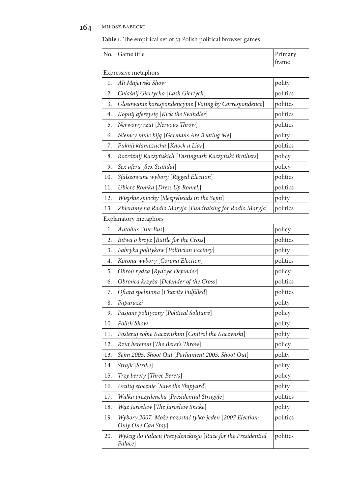## **164** miłosz babecki

**Table 1.** The empirical set of 33 Polish political browser games

| No.                                              | Game title                                                                   | Primary<br>frame |
|--------------------------------------------------|------------------------------------------------------------------------------|------------------|
|                                                  |                                                                              |                  |
| <b>Expressive metaphors</b><br>Ali Majewski Show |                                                                              |                  |
| 1.                                               |                                                                              | polity           |
| 2.                                               | Chlaśnij Giertycha [Lash Giertych]                                           | politics         |
| 3.                                               | Głosowanie korespondencyjne [Voting by Correspondence]                       | politics         |
| 4.                                               | Kopnij aferzystę [Kick the Swindler]                                         | politics         |
| 5.                                               | Nerwowy rzut [Nervous Throw]                                                 | politics         |
| 6.                                               | Niemcy mnie biją [Germans Are Beating Me]                                    | polity           |
| 7.                                               | Puknij kłamczucha [Knock a Liar]                                             | politics         |
| 8.                                               | Rozróżnij Kaczyńskich [Distinguish Kaczynski Brothers]                       | policy           |
| 9.                                               | Sex afera [Sex Scandal]                                                      | policy           |
| 10.                                              | Sfałszowane wybory [Rigged Election]                                         | politics         |
| 11.                                              | Ubierz Romka [Dress Up Romek]                                                | politics         |
| 12.                                              | Wiejskie śpiochy [Sleepyheads in the Sejm]                                   | polity           |
| 13.                                              | Zbieramy na Radio Maryja [Fundraising for Radio Maryja]                      | politics         |
| Explanatory metaphors                            |                                                                              |                  |
| 1.                                               | Autobus [The Bus]                                                            | policy           |
| 2.                                               | Bitwa o krzyż [Battle for the Cross]                                         | politics         |
| 3.                                               | Fabryka polityków [Politician Factory]                                       | polity           |
| 4.                                               | Korona wybory [Corona Election]                                              | politics         |
| 5.                                               | Obroń rydza [Rydzyk Defender]                                                | policy           |
| 6.                                               | Obrońca krzyża [Defender of the Cross]                                       | politics         |
| 7.                                               | Ofiara spełniona [Charity Fulfilled]                                         | politics         |
| 8.                                               | Paparazzi                                                                    | polity           |
| 9.                                               | Pasjans polityczny [Political Solitaire]                                     | policy           |
| 10.                                              | Polish Show                                                                  | polity           |
| 11.                                              | Posteruj sobie Kaczyńskim [Control the Kaczynski]                            | polity           |
| 12.                                              | Rzut beretem [The Beret's Throw]                                             | policy           |
| 13.                                              | Sejm 2005. Shoot Out [Parliament 2005. Shoot Out]                            | polity           |
| 14.                                              | Strajk [Strike]                                                              | polity           |
| 15.                                              | Trzy berety [Three Berets]                                                   | policy           |
| 16.                                              | Uratuj stocznię [Save the Shipyard]                                          | polity           |
| 17.                                              | Walka prezydencka [Presidential Struggle]                                    | politics         |
| 18.                                              | Wąż Jarosław [The Jarosław Snake]                                            | polity           |
| 19.                                              | Wybory 2007. Może pozostać tylko jeden [2007 Election:<br>Only One Can Stay] | politics         |
| 20.                                              | Wyścig do Pałacu Prezydenckiego [Race for the Presidential<br>Palace]        | politics         |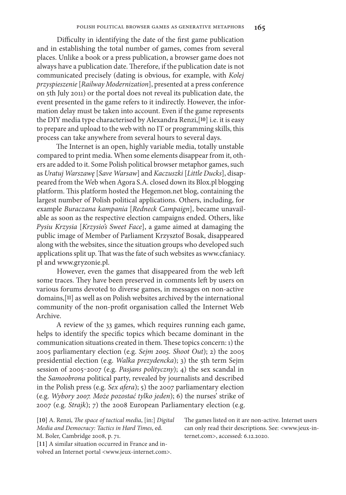Difficulty in identifying the date of the first game publication and in establishing the total number of games, comes from several places. Unlike a book or a press publication, a browser game does not always have a publication date. Therefore, if the publication date is not communicated precisely (dating is obvious, for example, with *Kolej przyspieszenie* [*Railway Modernization*], presented at a press conference on 5th July 2011) or the portal does not reveal its publication date, the event presented in the game refers to it indirectly. However, the information delay must be taken into account. Even if the game represents the DIY media type characterised by Alexandra Renzi,[**10**] i.e. it is easy to prepare and upload to the web with no IT or programming skills, this process can take anywhere from several hours to several days.

The Internet is an open, highly variable media, totally unstable compared to print media. When some elements disappear from it, others are added to it. Some Polish political browser metaphor games, such as *Uratuj Warszawę* [*Save Warsaw*] and *Kaczuszki* [*Little Ducks*], disappeared from the Web when Agora S.A. closed down its Blox.pl blogging platform. This platform hosted the Hegemon.net blog, containing the largest number of Polish political applications. Others, including, for example *Buraczana kampania* [*Redneck Campaign*], became unavailable as soon as the respective election campaigns ended. Others, like *Pysiu Krzysia* [*Krzysio's Sweet Face*], a game aimed at damaging the public image of Member of Parliament Krzysztof Bosak, disappeared along with the websites, since the situation groups who developed such applications split up. That was the fate of such websites as www.cfaniacy. pl and www.gryzonie.pl.

However, even the games that disappeared from the web left some traces. They have been preserved in comments left by users on various forums devoted to diverse games, in messages on non-active domains,[**11**] as well as on Polish websites archived by the international community of the non-profit organisation called the Internet Web Archive.

A review of the 33 games, which requires running each game, helps to identify the specific topics which became dominant in the communication situations created in them. These topics concern: 1) the 2005 parliamentary election (e.g. *Sejm 2005. Shoot Out*); 2) the 2005 presidential election (e.g. *Walka prezydencka*); 3) the 5th term Sejm session of 2005-2007 (e.g. *Pasjans polityczny*); 4) the sex scandal in the *Samoobrona* political party, revealed by journalists and described in the Polish press (e.g. *Sex afera*); 5) the 2007 parliamentary election (e.g. *Wybory 2007. Może pozostać tylko jeden*); 6) the nurses' strike of 2007 (e.g. *Strajk*); 7) the 2008 European Parliamentary election (e.g.

**[10]** A. Renzi, *The space of tactical media*, [in:] *Digital Media and Democracy: Tactics in Hard Times*, ed. M. Boler, Cambridge 2008, p. 71.

**[11]** A similar situation occurred in France and involved an Internet portal <www.jeux-internet.com>. The games listed on it are non-active. Internet users can only read their descriptions. See: <www.jeux-internet.com>, accessed: 6.12.2020.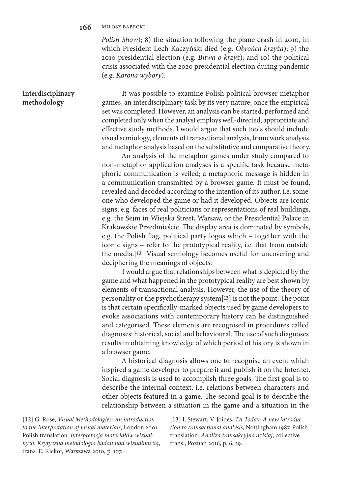#### **166** miłosz babecki

*Polish Show*); 8) the situation following the plane crash in 2010, in which President Lech Kaczyński died (e.g. *Obrońca krzyża*); 9) the 2010 presidential election (e.g. *Bitwa o krzyż*); and 10) the political crisis associated with the 2020 presidential election during pandemic (e.g. *Korona wybory*).

### **Interdisciplinary methodology**

It was possible to examine Polish political browser metaphor games, an interdisciplinary task by its very nature, once the empirical set was completed. However, an analysis can be started, performed and completed only when the analyst employs well-directed, appropriate and effective study methods. I would argue that such tools should include visual semiology, elements of transactional analysis, framework analysis and metaphor analysis based on the substitutive and comparative theory.

An analysis of the metaphor games under study compared to non-metaphor application analyses is a specific task because metaphoric communication is veiled; a metaphoric message is hidden in a communication transmitted by a browser game. It must be found, revealed and decoded according to the intention of its author, i.e. someone who developed the game or had it developed. Objects are iconic signs, e.g. faces of real politicians or representations of real buildings, e.g. the Sejm in Wiejska Street, Warsaw, or the Presidential Palace in Krakowskie Przedmieście. The display area is dominated by symbols, e.g. the Polish flag, political party logos which – together with the iconic signs – refer to the prototypical reality, i.e. that from outside the media.[**12**] Visual semiology becomes useful for uncovering and deciphering the meanings of objects.

I would argue that relationships between what is depicted by the game and what happened in the prototypical reality are best shown by elements of transactional analysis. However, the use of the theory of personality or the psychotherapy system[**13**] is not the point. The point is that certain specifically-marked objects used by game developers to evoke associations with contemporary history can be distinguished and categorised. These elements are recognised in procedures called diagnoses: historical, social and behavioural. The use of such diagnoses results in obtaining knowledge of which period of history is shown in a browser game.

A historical diagnosis allows one to recognise an event which inspired a game developer to prepare it and publish it on the Internet. Social diagnosis is used to accomplish three goals. The first goal is to describe the internal context, i.e. relations between characters and other objects featured in a game. The second goal is to describe the relationship between a situation in the game and a situation in the

**[12]** G. Rose, *Visual Methodologies: An introduction to the interpretation of visual materials*, London 2001. Polish translation: *Interpretacja materiałów wizualnych. Krytyczna metodologia badań nad wizualnością*, trans. E. Klekot, Warszawa 2010, p. 107.

**[13]** I. Stewart, V. Joines, *TA Today: A new introduction to transactional analysis*, Nottingham 1987. Polish translation: *Analiza transakcyjna dzisiaj*, collective trans., Poznań 2016, p. 6, 39.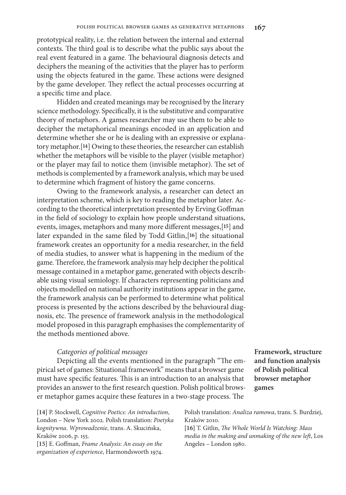prototypical reality, i.e. the relation between the internal and external contexts. The third goal is to describe what the public says about the real event featured in a game. The behavioural diagnosis detects and deciphers the meaning of the activities that the player has to perform

using the objects featured in the game. These actions were designed by the game developer. They reflect the actual processes occurring at a specific time and place.

Hidden and created meanings may be recognised by the literary science methodology. Specifically, it is the substitutive and comparative theory of metaphors. A games researcher may use them to be able to decipher the metaphorical meanings encoded in an application and determine whether she or he is dealing with an expressive or explanatory metaphor.[**14**] Owing to these theories, the researcher can establish whether the metaphors will be visible to the player (visible metaphor) or the player may fail to notice them (invisible metaphor). The set of methods is complemented by a framework analysis, which may be used to determine which fragment of history the game concerns.

Owing to the framework analysis, a researcher can detect an interpretation scheme, which is key to reading the metaphor later. According to the theoretical interpretation presented by Erving Goffman in the field of sociology to explain how people understand situations, events, images, metaphors and many more different messages,[**15**] and later expanded in the same filed by Todd Gitlin,[**16**] the situational framework creates an opportunity for a media researcher, in the field of media studies, to answer what is happening in the medium of the game. Therefore, the framework analysis may help decipher the political message contained in a metaphor game, generated with objects describable using visual semiology. If characters representing politicians and objects modelled on national authority institutions appear in the game, the framework analysis can be performed to determine what political process is presented by the actions described by the behavioural diagnosis, etc. The presence of framework analysis in the methodological model proposed in this paragraph emphasises the complementarity of the methods mentioned above.

#### *Categories of political messages*

Depicting all the events mentioned in the paragraph "The empirical set of games: Situational framework" means that a browser game must have specific features. This is an introduction to an analysis that provides an answer to the first research question. Polish political browser metaphor games acquire these features in a two-stage process. The

**[14]** P. Stockwell, *Cognitive Poetics: An introduction*, London – New York 2002. Polish translation: *Poetyka kognitywna. Wprowadzenie*, trans. A. Skucińska, Kraków 2006, p. 155.

**[15]** E. Goffman, *Frame Analysis: An essay on the organization of experience*, Harmondsworth 1974. **Framework, structure and function analysis of Polish political browser metaphor games**

Polish translation: *Analiza ramowa*, trans. S. Burdziej, Kraków 2010.

**[16]** T. Gitlin, *The Whole World Is Watching: Mass media in the making and unmaking of the new left*, Los Angeles – London 1980.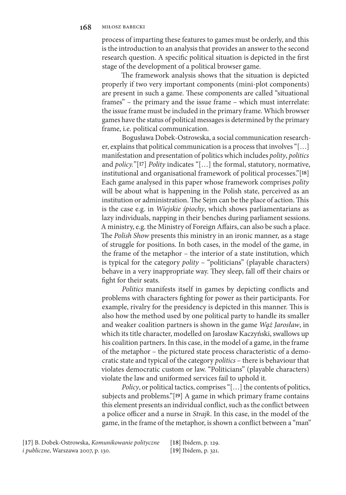process of imparting these features to games must be orderly, and this is the introduction to an analysis that provides an answer to the second research question. A specific political situation is depicted in the first stage of the development of a political browser game.

The framework analysis shows that the situation is depicted properly if two very important components (mini-plot components) are present in such a game. These components are called "situational frames" – the primary and the issue frame – which must interrelate: the issue frame must be included in the primary frame. Which browser games have the status of political messages is determined by the primary frame, i.e. political communication.

Bogusława Dobek-Ostrowska, a social communication researcher, explains that political communication is a process that involves "[…] manifestation and presentation of politics which includes *polity*, *politics* and *policy.*"[**17**] *Polity* indicates "[…] the formal, statutory, normative, institutional and organisational framework of political processes."[**18**] Each game analysed in this paper whose framework comprises *polity* will be about what is happening in the Polish state, perceived as an institution or administration. The Sejm can be the place of action. This is the case e.g. in *Wiejskie śpiochy*, which shows parliamentarians as lazy individuals, napping in their benches during parliament sessions. A ministry, e.g. the Ministry of Foreign Affairs, can also be such a place. The *Polish Show* presents this ministry in an ironic manner, as a stage of struggle for positions. In both cases, in the model of the game, in the frame of the metaphor – the interior of a state institution, which is typical for the category *polity* – "politicians" (playable characters) behave in a very inappropriate way. They sleep, fall off their chairs or fight for their seats.

*Politics* manifests itself in games by depicting conflicts and problems with characters fighting for power as their participants. For example, rivalry for the presidency is depicted in this manner. This is also how the method used by one political party to handle its smaller and weaker coalition partners is shown in the game *Wąż Jarosław*, in which its title character, modelled on Jarosław Kaczyński, swallows up his coalition partners. In this case, in the model of a game, in the frame of the metaphor – the pictured state process characteristic of a democratic state and typical of the category *politics* – there is behaviour that violates democratic custom or law. "Politicians" (playable characters) violate the law and uniformed services fail to uphold it.

*Policy*, or political tactics, comprises "[...] the contents of politics, subjects and problems."[**19**] A game in which primary frame contains this element presents an individual conflict, such as the conflict between a police officer and a nurse in *Strajk*. In this case, in the model of the game, in the frame of the metaphor, is shown a conflict between a "man"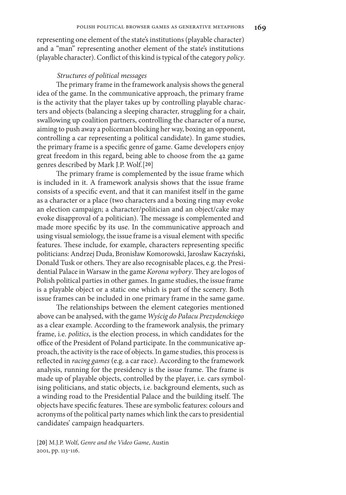representing one element of the state's institutions (playable character) and a "man" representing another element of the state's institutions (playable character). Conflict of this kind is typical of the category *policy*.

#### *Structures of political messages*

The primary frame in the framework analysis shows the general idea of the game. In the communicative approach, the primary frame is the activity that the player takes up by controlling playable characters and objects (balancing a sleeping character, struggling for a chair, swallowing up coalition partners, controlling the character of a nurse, aiming to push away a policeman blocking her way, boxing an opponent, controlling a car representing a political candidate). In game studies, the primary frame is a specific genre of game. Game developers enjoy great freedom in this regard, being able to choose from the 42 game genres described by Mark J.P. Wolf.[**20**]

The primary frame is complemented by the issue frame which is included in it. A framework analysis shows that the issue frame consists of a specific event, and that it can manifest itself in the game as a character or a place (two characters and a boxing ring may evoke an election campaign; a character/politician and an object/cake may evoke disapproval of a politician). The message is complemented and made more specific by its use. In the communicative approach and using visual semiology, the issue frame is a visual element with specific features. These include, for example, characters representing specific politicians: Andrzej Duda, Bronisław Komorowski, Jarosław Kaczyński, Donald Tusk or others. They are also recognisable places, e.g. the Presidential Palace in Warsaw in the game *Korona wybory*. They are logos of Polish political parties in other games. In game studies, the issue frame is a playable object or a static one which is part of the scenery. Both issue frames can be included in one primary frame in the same game.

The relationships between the element categories mentioned above can be analysed, with the game *Wyścig do Pałacu Prezydenckiego* as a clear example. According to the framework analysis, the primary frame, i.e. *politics*, is the election process, in which candidates for the office of the President of Poland participate. In the communicative approach, the activity is the race of objects. In game studies, this process is reflected in *racing games* (e.g. a car race). According to the framework analysis, running for the presidency is the issue frame. The frame is made up of playable objects, controlled by the player, i.e. cars symbolising politicians, and static objects, i.e. background elements, such as a winding road to the Presidential Palace and the building itself. The objects have specific features. These are symbolic features: colours and acronyms of the political party names which link the cars to presidential candidates' campaign headquarters.

**[20]** M.J.P. Wolf, *Genre and the Video Game*, Austin 2001, pp. 113‒116.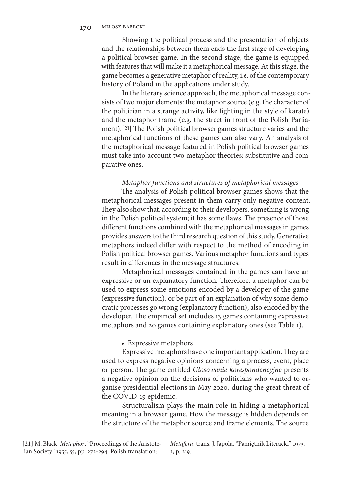Showing the political process and the presentation of objects and the relationships between them ends the first stage of developing a political browser game. In the second stage, the game is equipped with features that will make it a metaphorical message. At this stage, the game becomes a generative metaphor of reality, i.e. of the contemporary history of Poland in the applications under study.

In the literary science approach, the metaphorical message consists of two major elements: the metaphor source (e.g. the character of the politician in a strange activity, like fighting in the style of karate) and the metaphor frame (e.g. the street in front of the Polish Parliament).[**21**] The Polish political browser games structure varies and the metaphorical functions of these games can also vary. An analysis of the metaphorical message featured in Polish political browser games must take into account two metaphor theories: substitutive and comparative ones.

#### *Metaphor functions and structures of metaphorical messages*

The analysis of Polish political browser games shows that the metaphorical messages present in them carry only negative content. They also show that, according to their developers, something is wrong in the Polish political system; it has some flaws. The presence of those different functions combined with the metaphorical messages in games provides answers to the third research question of this study. Generative metaphors indeed differ with respect to the method of encoding in Polish political browser games. Various metaphor functions and types result in differences in the message structures.

Metaphorical messages contained in the games can have an expressive or an explanatory function. Therefore, a metaphor can be used to express some emotions encoded by a developer of the game (expressive function), or be part of an explanation of why some democratic processes go wrong (explanatory function), also encoded by the developer. The empirical set includes 13 games containing expressive metaphors and 20 games containing explanatory ones (see Table 1).

#### • Expressive metaphors

Expressive metaphors have one important application. They are used to express negative opinions concerning a process, event, place or person. The game entitled *Głosowanie korespondencyjne* presents a negative opinion on the decisions of politicians who wanted to organise presidential elections in May 2020, during the great threat of the COVID-19 epidemic.

Structuralism plays the main role in hiding a metaphorical meaning in a browser game. How the message is hidden depends on the structure of the metaphor source and frame elements. The source

*Metafora*, trans. J. Japola, "Pamiętnik Literacki" 1973, 3, p. 219.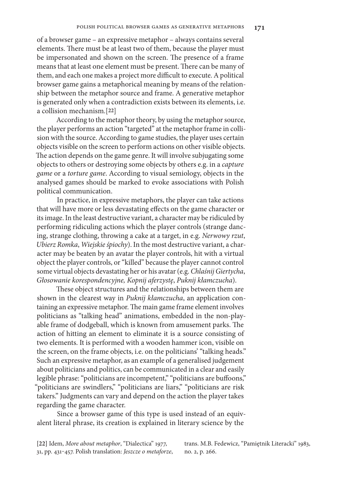of a browser game – an expressive metaphor – always contains several elements. There must be at least two of them, because the player must be impersonated and shown on the screen. The presence of a frame means that at least one element must be present. There can be many of them, and each one makes a project more difficult to execute. A political browser game gains a metaphorical meaning by means of the relationship between the metaphor source and frame. A generative metaphor is generated only when a contradiction exists between its elements, i.e. a collision mechanism.[**22**]

According to the metaphor theory, by using the metaphor source, the player performs an action "targeted" at the metaphor frame in collision with the source. According to game studies, the player uses certain objects visible on the screen to perform actions on other visible objects. The action depends on the game genre. It will involve subjugating some objects to others or destroying some objects by others e.g. in a *capture game* or a *torture game*. According to visual semiology, objects in the analysed games should be marked to evoke associations with Polish political communication.

In practice, in expressive metaphors, the player can take actions that will have more or less devastating effects on the game character or its image. In the least destructive variant, a character may be ridiculed by performing ridiculing actions which the player controls (strange dancing, strange clothing, throwing a cake at a target, in e.g. *Nerwowy rzut*, *Ubierz Romka*, *Wiejskie śpiochy*). In the most destructive variant, a character may be beaten by an avatar the player controls, hit with a virtual object the player controls, or "killed" because the player cannot control some virtual objects devastating her or his avatar (e.g. *Chlaśnij Giertycha*, *Głosowanie korespondencyjne, Kopnij aferzystę*, *Puknij kłamczucha*).

These object structures and the relationships between them are shown in the clearest way in *Puknij kłamczucha*, an application containing an expressive metaphor. The main game frame element involves politicians as "talking head" animations, embedded in the non-playable frame of dodgeball, which is known from amusement parks. The action of hitting an element to eliminate it is a source consisting of two elements. It is performed with a wooden hammer icon, visible on the screen, on the frame objects, i.e. on the politicians' "talking heads." Such an expressive metaphor, as an example of a generalised judgement about politicians and politics, can be communicated in a clear and easily legible phrase: "politicians are incompetent," "politicians are buffoons," "politicians are swindlers," "politicians are liars," "politicians are risk takers." Judgments can vary and depend on the action the player takes regarding the game character.

Since a browser game of this type is used instead of an equivalent literal phrase, its creation is explained in literary science by the

**[22]** Idem, *More about metaphor*, "Dialectica" 1977, 31, pp. 431‒457. Polish translation: *Jeszcze o metaforze*, trans. M.B. Fedewicz, "Pamiętnik Literacki" 1983, no. 2, p. 266.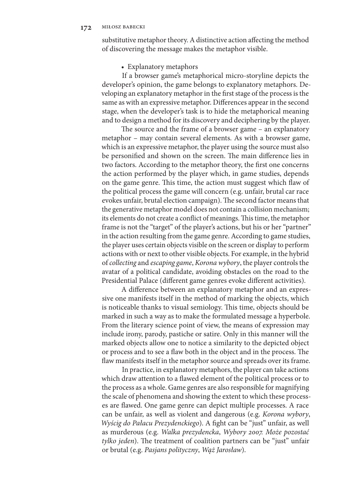substitutive metaphor theory. A distinctive action affecting the method of discovering the message makes the metaphor visible.

#### • Explanatory metaphors

If a browser game's metaphorical micro-storyline depicts the developer's opinion, the game belongs to explanatory metaphors. Developing an explanatory metaphor in the first stage of the process is the same as with an expressive metaphor. Differences appear in the second stage, when the developer's task is to hide the metaphorical meaning and to design a method for its discovery and deciphering by the player.

The source and the frame of a browser game – an explanatory metaphor – may contain several elements. As with a browser game, which is an expressive metaphor, the player using the source must also be personified and shown on the screen. The main difference lies in two factors. According to the metaphor theory, the first one concerns the action performed by the player which, in game studies, depends on the game genre. This time, the action must suggest which flaw of the political process the game will concern (e.g. unfair, brutal car race evokes unfair, brutal election campaign). The second factor means that the generative metaphor model does not contain a collision mechanism; its elements do not create a conflict of meanings. This time, the metaphor frame is not the "target" of the player's actions, but his or her "partner" in the action resulting from the game genre. According to game studies, the player uses certain objects visible on the screen or display to perform actions with or next to other visible objects. For example, in the hybrid of *collecting* and *escaping game*, *Korona wybory*, the player controls the avatar of a political candidate, avoiding obstacles on the road to the Presidential Palace (different game genres evoke different activities).

A difference between an explanatory metaphor and an expressive one manifests itself in the method of marking the objects, which is noticeable thanks to visual semiology. This time, objects should be marked in such a way as to make the formulated message a hyperbole. From the literary science point of view, the means of expression may include irony, parody, pastiche or satire. Only in this manner will the marked objects allow one to notice a similarity to the depicted object or process and to see a flaw both in the object and in the process. The flaw manifests itself in the metaphor source and spreads over its frame.

In practice, in explanatory metaphors, the player can take actions which draw attention to a flawed element of the political process or to the process as a whole. Game genres are also responsible for magnifying the scale of phenomena and showing the extent to which these processes are flawed. One game genre can depict multiple processes. A race can be unfair, as well as violent and dangerous (e.g. *Korona wybory*, *Wyścig do Pałacu Prezydenckiego*). A fight can be "just" unfair, as well as murderous (e.g. *Walka prezydencka*, *Wybory 2007. Może pozostać tylko jeden*). The treatment of coalition partners can be "just" unfair or brutal (e.g. *Pasjans polityczny*, *Wąż Jarosław*).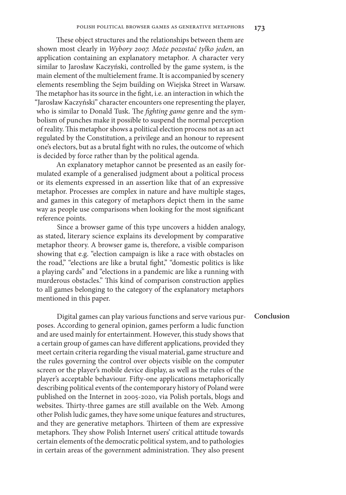These object structures and the relationships between them are shown most clearly in *Wybory 2007. Może pozostać tylko jeden*, an application containing an explanatory metaphor. A character very similar to Jarosław Kaczyński, controlled by the game system, is the main element of the multielement frame. It is accompanied by scenery elements resembling the Sejm building on Wiejska Street in Warsaw. The metaphor has its source in the fight, i.e. an interaction in which the "Jarosław Kaczyński" character encounters one representing the player, who is similar to Donald Tusk. The *fighting game* genre and the symbolism of punches make it possible to suspend the normal perception of reality. This metaphor shows a political election process not as an act regulated by the Constitution, a privilege and an honour to represent one's electors, but as a brutal fight with no rules, the outcome of which is decided by force rather than by the political agenda.

An explanatory metaphor cannot be presented as an easily formulated example of a generalised judgment about a political process or its elements expressed in an assertion like that of an expressive metaphor. Processes are complex in nature and have multiple stages, and games in this category of metaphors depict them in the same way as people use comparisons when looking for the most significant reference points.

Since a browser game of this type uncovers a hidden analogy, as stated, literary science explains its development by comparative metaphor theory. A browser game is, therefore, a visible comparison showing that e.g. "election campaign is like a race with obstacles on the road," "elections are like a brutal fight," "domestic politics is like a playing cards" and "elections in a pandemic are like a running with murderous obstacles." This kind of comparison construction applies to all games belonging to the category of the explanatory metaphors mentioned in this paper.

Digital games can play various functions and serve various purposes. According to general opinion, games perform a ludic function and are used mainly for entertainment. However, this study shows that a certain group of games can have different applications, provided they meet certain criteria regarding the visual material, game structure and the rules governing the control over objects visible on the computer screen or the player's mobile device display, as well as the rules of the player's acceptable behaviour. Fifty-one applications metaphorically describing political events of the contemporary history of Poland were published on the Internet in 2005-2020, via Polish portals, blogs and websites. Thirty-three games are still available on the Web. Among other Polish ludic games, they have some unique features and structures, and they are generative metaphors. Thirteen of them are expressive metaphors. They show Polish Internet users' critical attitude towards certain elements of the democratic political system, and to pathologies in certain areas of the government administration. They also present

**Conclusion**